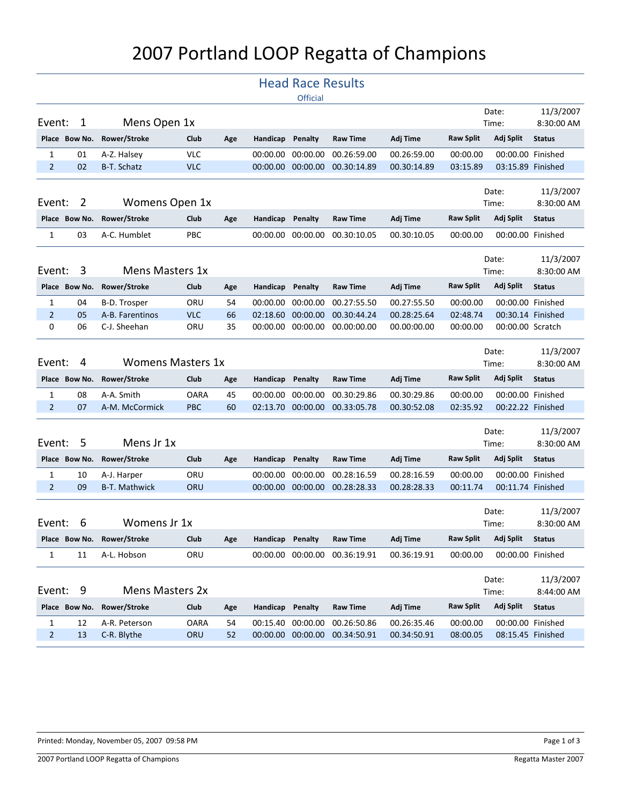## 2007 Portland LOOP Regatta of Champions

## Head Race Results

Official

| Event:         | 1             | Mens Open 1x             |             |     |          |                   |                               |             |                  | Date:<br>Time:    | 11/3/2007<br>8:30:00 AM |
|----------------|---------------|--------------------------|-------------|-----|----------|-------------------|-------------------------------|-------------|------------------|-------------------|-------------------------|
|                | Place Bow No. | Rower/Stroke             | Club        | Age | Handicap | Penalty           | <b>Raw Time</b>               | Adj Time    | <b>Raw Split</b> | Adj Split         | <b>Status</b>           |
| 1              | 01            | A-Z. Halsey              | <b>VLC</b>  |     | 00:00.00 | 00:00.00          | 00.26:59.00                   | 00.26:59.00 | 00:00.00         | 00:00.00 Finished |                         |
| $\overline{2}$ | 02            | B-T. Schatz              | <b>VLC</b>  |     | 00:00.00 | 00:00.00          | 00.30:14.89                   | 00.30:14.89 | 03:15.89         | 03:15.89 Finished |                         |
|                |               |                          |             |     |          |                   |                               |             |                  |                   |                         |
|                |               |                          |             |     |          |                   |                               |             |                  | Date:             | 11/3/2007               |
| Event:         | 2             | Womens Open 1x           |             |     |          |                   |                               |             |                  | Time:             | 8:30:00 AM              |
|                | Place Bow No. | Rower/Stroke             | Club        | Age | Handicap | Penalty           | <b>Raw Time</b>               | Adj Time    | <b>Raw Split</b> | Adj Split         | <b>Status</b>           |
| 1              | 03            | A-C. Humblet             | PBC         |     | 00:00.00 | 00:00.00          | 00.30:10.05                   | 00.30:10.05 | 00:00.00         | 00:00.00 Finished |                         |
|                |               | Date:                    |             |     |          |                   |                               |             |                  | 11/3/2007         |                         |
| 3<br>Event:    |               | <b>Mens Masters 1x</b>   |             |     |          |                   |                               |             | Time:            |                   | 8:30:00 AM              |
|                | Place Bow No. | Rower/Stroke             | Club        | Age | Handicap | Penalty           | <b>Raw Time</b>               | Adj Time    | <b>Raw Split</b> | Adj Split         | <b>Status</b>           |
| 1              | 04            | B-D. Trosper             | ORU         | 54  | 00:00.00 | 00:00.00          | 00.27:55.50                   | 00.27:55.50 | 00:00.00         | 00:00.00 Finished |                         |
| $\overline{2}$ | 05            | A-B. Farentinos          | <b>VLC</b>  | 66  | 02:18.60 | 00:00.00          | 00.30:44.24                   | 00.28:25.64 | 02:48.74         | 00:30.14 Finished |                         |
| 0              | 06            | C-J. Sheehan             | ORU         | 35  | 00:00.00 | 00:00.00          | 00.00:00.00                   | 00.00:00.00 | 00:00.00         | 00:00.00 Scratch  |                         |
|                |               |                          |             |     |          |                   |                               |             |                  |                   |                         |
| Event:         | 4             | <b>Womens Masters 1x</b> |             |     |          |                   |                               |             |                  | Date:<br>Time:    | 11/3/2007<br>8:30:00 AM |
|                | Place Bow No. | Rower/Stroke             | Club        | Age | Handicap | <b>Penalty</b>    | <b>Raw Time</b>               | Adj Time    | <b>Raw Split</b> | Adj Split         | <b>Status</b>           |
| 1              | 08            | A-A. Smith               | <b>OARA</b> | 45  | 00:00.00 | 00:00.00          | 00.30:29.86                   | 00.30:29.86 | 00:00.00         | 00:00.00 Finished |                         |
| $\overline{2}$ | 07            | A-M. McCormick           | <b>PBC</b>  | 60  | 02:13.70 | 00:00.00          | 00.33:05.78                   | 00.30:52.08 | 02:35.92         | 00:22.22 Finished |                         |
|                |               |                          |             |     |          |                   |                               |             |                  |                   |                         |
| Event:         |               |                          |             |     |          |                   |                               |             |                  | Date:             | 11/3/2007               |
|                | 5             | Mens Jr 1x               |             |     |          |                   |                               |             |                  | Time:             | 8:30:00 AM              |
|                | Place Bow No. | Rower/Stroke             | Club        | Age | Handicap | <b>Penalty</b>    | <b>Raw Time</b>               | Adj Time    | <b>Raw Split</b> | Adj Split         | <b>Status</b>           |
| 1              | 10            | A-J. Harper              | ORU         |     | 00:00.00 | 00:00.00          | 00.28:16.59                   | 00.28:16.59 | 00:00.00         | 00:00.00 Finished |                         |
| $\overline{2}$ | 09            | <b>B-T. Mathwick</b>     | ORU         |     | 00:00.00 | 00:00.00          | 00.28:28.33                   | 00.28:28.33 | 00:11.74         | 00:11.74 Finished |                         |
|                |               |                          |             |     |          |                   |                               |             |                  | Date:             | 11/3/2007               |
| 6<br>Event:    |               | Womens Jr 1x             |             |     |          |                   |                               |             |                  | Time:             | 8:30:00 AM              |
|                | Place Bow No. | Rower/Stroke             | Club        | Age | Handicap | Penalty           | <b>Raw Time</b>               | Adj Time    | <b>Raw Split</b> | Adj Split         | <b>Status</b>           |
| 1              | 11            | A-L. Hobson              | ORU         |     |          | 00:00.00 00:00.00 | 00.36:19.91                   | 00.36:19.91 | 00:00.00         | 00:00.00 Finished |                         |
|                |               |                          |             |     |          |                   |                               |             |                  | Date:             | 11/3/2007               |
| 9<br>Event:    |               | <b>Mens Masters 2x</b>   |             |     |          |                   |                               |             |                  | Time:             | 8:44:00 AM              |
|                | Place Bow No. | Rower/Stroke             | Club        | Age | Handicap | Penalty           | <b>Raw Time</b>               | Adj Time    | <b>Raw Split</b> | Adj Split         | <b>Status</b>           |
| 1              | 12            | A-R. Peterson            | <b>OARA</b> | 54  | 00:15.40 | 00:00.00          | 00.26:50.86                   | 00.26:35.46 | 00:00.00         | 00:00.00 Finished |                         |
| $\overline{2}$ | 13            | C-R. Blythe              | ORU         | 52  |          |                   | 00:00.00 00:00.00 00.34:50.91 | 00.34:50.91 | 08:00.05         | 08:15.45 Finished |                         |
|                |               |                          |             |     |          |                   |                               |             |                  |                   |                         |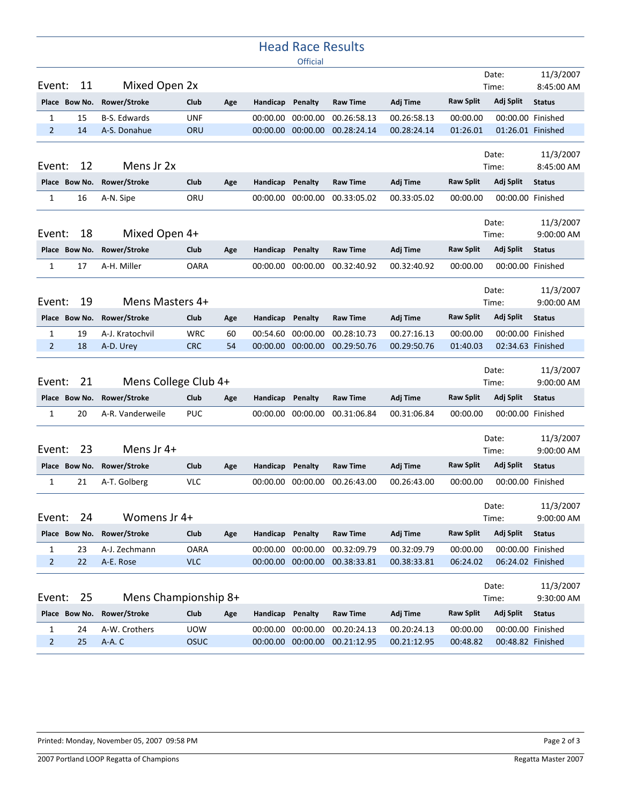## Head Race Results Official

|                   |               |                         |                           |     |                      |                      |                            |                            |                      | Date:                                  | 11/3/2007               |
|-------------------|---------------|-------------------------|---------------------------|-----|----------------------|----------------------|----------------------------|----------------------------|----------------------|----------------------------------------|-------------------------|
| Event:            | 11            | Mixed Open 2x           |                           |     |                      |                      |                            |                            |                      | Time:                                  | 8:45:00 AM              |
|                   | Place Bow No. | Rower/Stroke            | Club                      | Age | Handicap             | Penalty              | <b>Raw Time</b>            | Adj Time                   | <b>Raw Split</b>     | Adj Split                              | <b>Status</b>           |
| $\mathbf{1}$      | 15            | B-S. Edwards            | <b>UNF</b>                |     | 00:00.00             | 00:00.00             | 00.26:58.13                | 00.26:58.13                | 00:00.00             | 00:00.00 Finished                      |                         |
| $\overline{2}$    | 14            | A-S. Donahue            | ORU                       |     | 00:00.00             | 00:00.00             | 00.28:24.14                | 00.28:24.14                | 01:26.01             | 01:26.01 Finished                      |                         |
|                   |               |                         |                           |     |                      |                      |                            |                            |                      | Date:                                  | 11/3/2007               |
| Event:            | 12            | Mens Jr 2x              |                           |     |                      |                      |                            |                            |                      | Time:                                  | 8:45:00 AM              |
|                   | Place Bow No. | Rower/Stroke            | Club                      | Age | Handicap             | <b>Penalty</b>       | <b>Raw Time</b>            | Adj Time                   | <b>Raw Split</b>     | Adj Split                              | <b>Status</b>           |
| $\mathbf{1}$      | 16            | A-N. Sipe               | ORU                       |     | 00:00.00             | 00:00.00             | 00.33:05.02                | 00.33:05.02                | 00:00.00             | 00:00.00 Finished                      |                         |
|                   |               |                         |                           |     |                      |                      |                            |                            |                      |                                        |                         |
| Event:            | 18            | Mixed Open 4+           |                           |     |                      |                      |                            |                            |                      | Date:                                  | 11/3/2007<br>9:00:00 AM |
|                   |               |                         |                           |     |                      |                      |                            |                            |                      | Time:<br>Adj Split                     |                         |
|                   | Place Bow No. | Rower/Stroke            | Club                      | Age | Handicap             | <b>Penalty</b>       | <b>Raw Time</b>            | Adj Time                   | <b>Raw Split</b>     |                                        | <b>Status</b>           |
| $\mathbf{1}$      | 17            | A-H. Miller             | <b>OARA</b>               |     | 00:00.00             | 00:00.00             | 00.32:40.92                | 00.32:40.92                | 00:00.00             | 00:00.00 Finished                      |                         |
|                   |               |                         |                           |     |                      |                      |                            |                            |                      | Date:                                  | 11/3/2007               |
| Event:            | 19            | Mens Masters 4+         |                           |     |                      |                      |                            |                            | Time:                |                                        | 9:00:00 AM              |
|                   | Place Bow No. | Rower/Stroke            | Club                      | Age | Handicap             | <b>Penalty</b>       | <b>Raw Time</b>            | Adj Time                   | <b>Raw Split</b>     | Adj Split                              | <b>Status</b>           |
| $\mathbf{1}$      | 19            | A-J. Kratochvil         | <b>WRC</b>                | 60  | 00:54.60             | 00:00.00             | 00.28:10.73                | 00.27:16.13                | 00:00.00             | 00:00.00 Finished                      |                         |
| $\overline{2}$    | 18            | A-D. Urey               | <b>CRC</b>                | 54  | 00:00.00             | 00:00.00             | 00.29:50.76                | 00.29:50.76                | 01:40.03             | 02:34.63 Finished                      |                         |
|                   |               |                         |                           |     |                      |                      |                            |                            |                      |                                        |                         |
|                   |               |                         |                           |     |                      |                      |                            |                            |                      |                                        |                         |
|                   |               |                         |                           |     |                      |                      |                            |                            |                      | Date:                                  | 11/3/2007               |
| Event:            | 21            | Mens College Club 4+    | Club                      |     |                      |                      |                            |                            | <b>Raw Split</b>     | Time:<br>Adj Split                     | 9:00:00 AM              |
|                   | Place Bow No. | Rower/Stroke            |                           | Age | Handicap             | Penalty              | <b>Raw Time</b>            | Adj Time                   |                      |                                        | <b>Status</b>           |
| $\mathbf{1}$      | 20            | A-R. Vanderweile        | <b>PUC</b>                |     | 00:00.00             | 00:00.00             | 00.31:06.84                | 00.31:06.84                | 00:00.00             | 00:00.00 Finished                      |                         |
|                   |               |                         |                           |     |                      |                      |                            |                            |                      | Date:                                  | 11/3/2007               |
| Event:            | 23            | Mens Jr $4+$            |                           |     |                      |                      |                            |                            |                      | Time:                                  | 9:00:00 AM              |
|                   | Place Bow No. | Rower/Stroke            | Club                      | Age | Handicap             | Penalty              | <b>Raw Time</b>            | Adj Time                   | <b>Raw Split</b>     | Adj Split                              | <b>Status</b>           |
| $\mathbf{1}$      | 21            | A-T. Golberg            | <b>VLC</b>                |     | 00:00.00             | 00:00.00             | 00.26:43.00                | 00.26:43.00                | 00:00.00             | 00:00.00 Finished                      |                         |
|                   |               |                         |                           |     |                      |                      |                            |                            |                      |                                        |                         |
| Event:            | 24            |                         |                           |     |                      |                      |                            |                            |                      | Date:                                  | 11/3/2007               |
|                   |               | Womens Jr 4+            |                           |     |                      |                      |                            |                            | <b>Raw Split</b>     | Time:                                  | $9:00:00$ AM            |
|                   | Place Bow No. | Rower/Stroke            | Club                      | Age | Handicap             | <b>Penalty</b>       | <b>Raw Time</b>            | Adj Time                   |                      | Adj Split                              | <b>Status</b>           |
| 1                 | 23            | A-J. Zechmann           | <b>OARA</b>               |     | 00:00.00<br>00:00.00 | 00:00.00<br>00:00.00 | 00.32:09.79<br>00.38:33.81 | 00.32:09.79                | 00:00.00<br>06:24.02 | 00:00.00 Finished<br>06:24.02 Finished |                         |
| $\overline{2}$    | 22            | A-E. Rose               | <b>VLC</b>                |     |                      |                      |                            | 00.38:33.81                |                      |                                        |                         |
|                   |               |                         |                           |     |                      |                      |                            |                            |                      | Date:                                  | 11/3/2007               |
| Event:            | 25            | Mens Championship 8+    |                           |     |                      |                      |                            |                            |                      | Time:                                  | 9:30:00 AM              |
|                   | Place Bow No. | Rower/Stroke            | Club                      | Age | Handicap             | <b>Penalty</b>       | <b>Raw Time</b>            | Adj Time                   | <b>Raw Split</b>     | Adj Split                              | <b>Status</b>           |
| $\mathbf{1}$<br>2 | 24<br>25      | A-W. Crothers<br>A-A. C | <b>UOW</b><br><b>OSUC</b> |     | 00:00.00<br>00:00.00 | 00:00.00<br>00:00.00 | 00.20:24.13<br>00.21:12.95 | 00.20:24.13<br>00.21:12.95 | 00:00.00<br>00:48.82 | 00:00.00 Finished<br>00:48.82 Finished |                         |